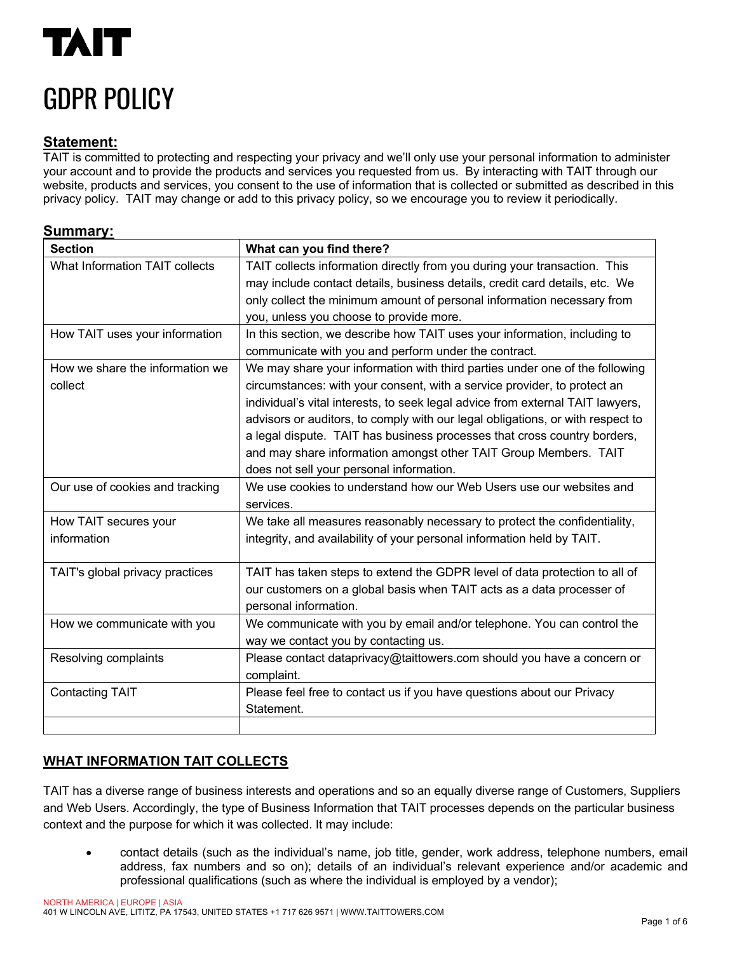# GDPR POLICY

## **Statement:**

TAIT

TAIT is committed to protecting and respecting your privacy and we'll only use your personal information to administer your account and to provide the products and services you requested from us. By interacting with TAIT through our website, products and services, you consent to the use of information that is collected or submitted as described in this privacy policy. TAIT may change or add to this privacy policy, so we encourage you to review it periodically.

# **Summary:**

| <b>Section</b>                  | What can you find there?                                                       |
|---------------------------------|--------------------------------------------------------------------------------|
| What Information TAIT collects  | TAIT collects information directly from you during your transaction. This      |
|                                 | may include contact details, business details, credit card details, etc. We    |
|                                 | only collect the minimum amount of personal information necessary from         |
|                                 | you, unless you choose to provide more.                                        |
| How TAIT uses your information  | In this section, we describe how TAIT uses your information, including to      |
|                                 | communicate with you and perform under the contract.                           |
| How we share the information we | We may share your information with third parties under one of the following    |
| collect                         | circumstances: with your consent, with a service provider, to protect an       |
|                                 | individual's vital interests, to seek legal advice from external TAIT lawyers, |
|                                 | advisors or auditors, to comply with our legal obligations, or with respect to |
|                                 | a legal dispute. TAIT has business processes that cross country borders,       |
|                                 | and may share information amongst other TAIT Group Members. TAIT               |
|                                 | does not sell your personal information.                                       |
| Our use of cookies and tracking | We use cookies to understand how our Web Users use our websites and            |
|                                 | services.                                                                      |
| How TAIT secures your           | We take all measures reasonably necessary to protect the confidentiality,      |
| information                     | integrity, and availability of your personal information held by TAIT.         |
|                                 |                                                                                |
| TAIT's global privacy practices | TAIT has taken steps to extend the GDPR level of data protection to all of     |
|                                 | our customers on a global basis when TAIT acts as a data processer of          |
|                                 | personal information.                                                          |
| How we communicate with you     | We communicate with you by email and/or telephone. You can control the         |
|                                 | way we contact you by contacting us.                                           |
| Resolving complaints            | Please contact dataprivacy@taittowers.com should you have a concern or         |
|                                 | complaint.                                                                     |
| <b>Contacting TAIT</b>          | Please feel free to contact us if you have questions about our Privacy         |
|                                 | Statement.                                                                     |
|                                 |                                                                                |

# **WHAT INFORMATION TAIT COLLECTS**

TAIT has a diverse range of business interests and operations and so an equally diverse range of Customers, Suppliers and Web Users. Accordingly, the type of Business Information that TAIT processes depends on the particular business context and the purpose for which it was collected. It may include:

• contact details (such as the individual's name, job title, gender, work address, telephone numbers, email address, fax numbers and so on); details of an individual's relevant experience and/or academic and professional qualifications (such as where the individual is employed by a vendor);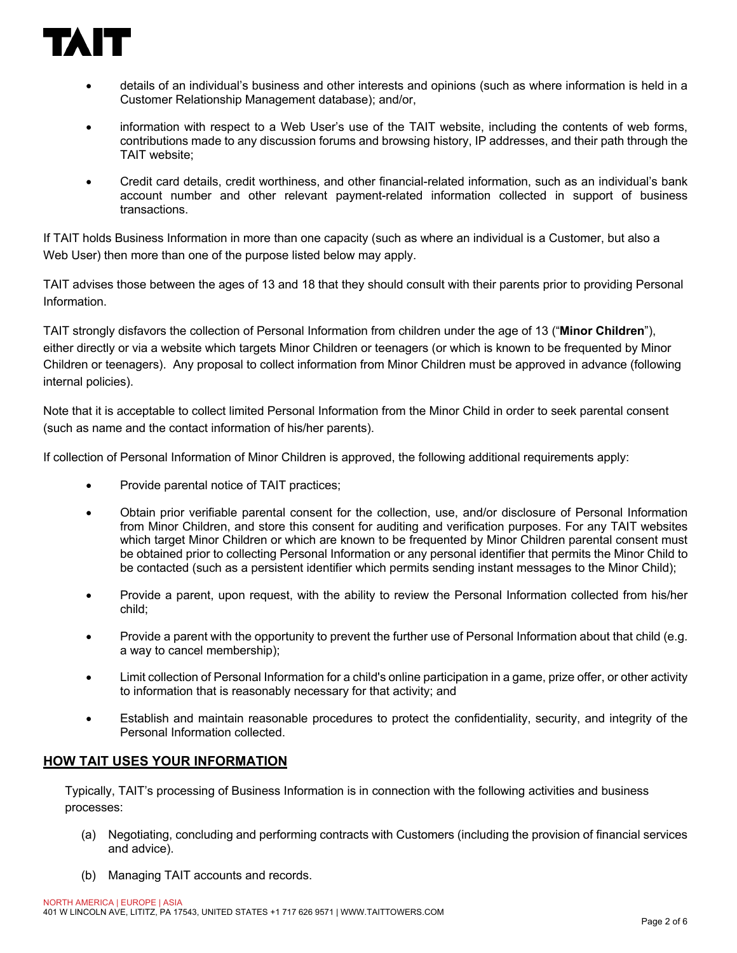

- details of an individual's business and other interests and opinions (such as where information is held in a Customer Relationship Management database); and/or,
- information with respect to a Web User's use of the TAIT website, including the contents of web forms, contributions made to any discussion forums and browsing history, IP addresses, and their path through the TAIT website;
- Credit card details, credit worthiness, and other financial-related information, such as an individual's bank account number and other relevant payment-related information collected in support of business transactions.

If TAIT holds Business Information in more than one capacity (such as where an individual is a Customer, but also a Web User) then more than one of the purpose listed below may apply.

TAIT advises those between the ages of 13 and 18 that they should consult with their parents prior to providing Personal Information.

TAIT strongly disfavors the collection of Personal Information from children under the age of 13 ("**Minor Children**"), either directly or via a website which targets Minor Children or teenagers (or which is known to be frequented by Minor Children or teenagers). Any proposal to collect information from Minor Children must be approved in advance (following internal policies).

Note that it is acceptable to collect limited Personal Information from the Minor Child in order to seek parental consent (such as name and the contact information of his/her parents).

If collection of Personal Information of Minor Children is approved, the following additional requirements apply:

- Provide parental notice of TAIT practices;
- Obtain prior verifiable parental consent for the collection, use, and/or disclosure of Personal Information from Minor Children, and store this consent for auditing and verification purposes. For any TAIT websites which target Minor Children or which are known to be frequented by Minor Children parental consent must be obtained prior to collecting Personal Information or any personal identifier that permits the Minor Child to be contacted (such as a persistent identifier which permits sending instant messages to the Minor Child);
- Provide a parent, upon request, with the ability to review the Personal Information collected from his/her child;
- Provide a parent with the opportunity to prevent the further use of Personal Information about that child (e.g. a way to cancel membership);
- Limit collection of Personal Information for a child's online participation in a game, prize offer, or other activity to information that is reasonably necessary for that activity; and
- Establish and maintain reasonable procedures to protect the confidentiality, security, and integrity of the Personal Information collected.

## **HOW TAIT USES YOUR INFORMATION**

Typically, TAIT's processing of Business Information is in connection with the following activities and business processes:

- (a) Negotiating, concluding and performing contracts with Customers (including the provision of financial services and advice).
- (b) Managing TAIT accounts and records.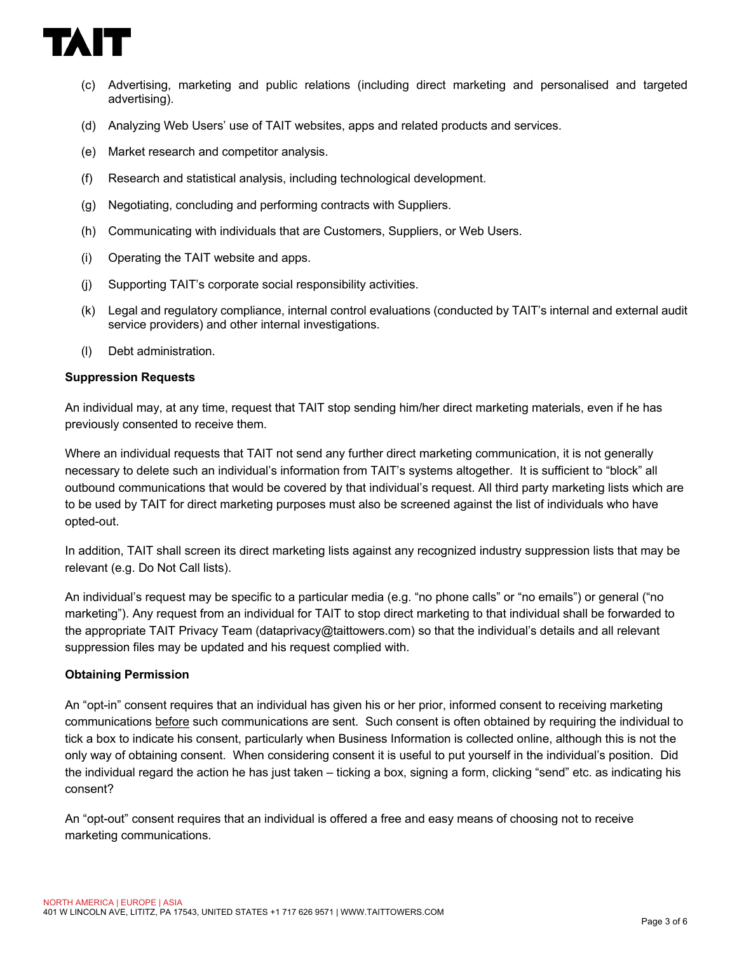

- (c) Advertising, marketing and public relations (including direct marketing and personalised and targeted advertising).
- (d) Analyzing Web Users' use of TAIT websites, apps and related products and services.
- (e) Market research and competitor analysis.
- (f) Research and statistical analysis, including technological development.
- (g) Negotiating, concluding and performing contracts with Suppliers.
- (h) Communicating with individuals that are Customers, Suppliers, or Web Users.
- (i) Operating the TAIT website and apps.
- (j) Supporting TAIT's corporate social responsibility activities.
- (k) Legal and regulatory compliance, internal control evaluations (conducted by TAIT's internal and external audit service providers) and other internal investigations.
- (l) Debt administration.

#### **Suppression Requests**

An individual may, at any time, request that TAIT stop sending him/her direct marketing materials, even if he has previously consented to receive them.

Where an individual requests that TAIT not send any further direct marketing communication, it is not generally necessary to delete such an individual's information from TAIT's systems altogether. It is sufficient to "block" all outbound communications that would be covered by that individual's request. All third party marketing lists which are to be used by TAIT for direct marketing purposes must also be screened against the list of individuals who have opted-out.

In addition, TAIT shall screen its direct marketing lists against any recognized industry suppression lists that may be relevant (e.g. Do Not Call lists).

An individual's request may be specific to a particular media (e.g. "no phone calls" or "no emails") or general ("no marketing"). Any request from an individual for TAIT to stop direct marketing to that individual shall be forwarded to the appropriate TAIT Privacy Team (dataprivacy@taittowers.com) so that the individual's details and all relevant suppression files may be updated and his request complied with.

#### **Obtaining Permission**

An "opt-in" consent requires that an individual has given his or her prior, informed consent to receiving marketing communications before such communications are sent. Such consent is often obtained by requiring the individual to tick a box to indicate his consent, particularly when Business Information is collected online, although this is not the only way of obtaining consent. When considering consent it is useful to put yourself in the individual's position. Did the individual regard the action he has just taken – ticking a box, signing a form, clicking "send" etc. as indicating his consent?

An "opt-out" consent requires that an individual is offered a free and easy means of choosing not to receive marketing communications.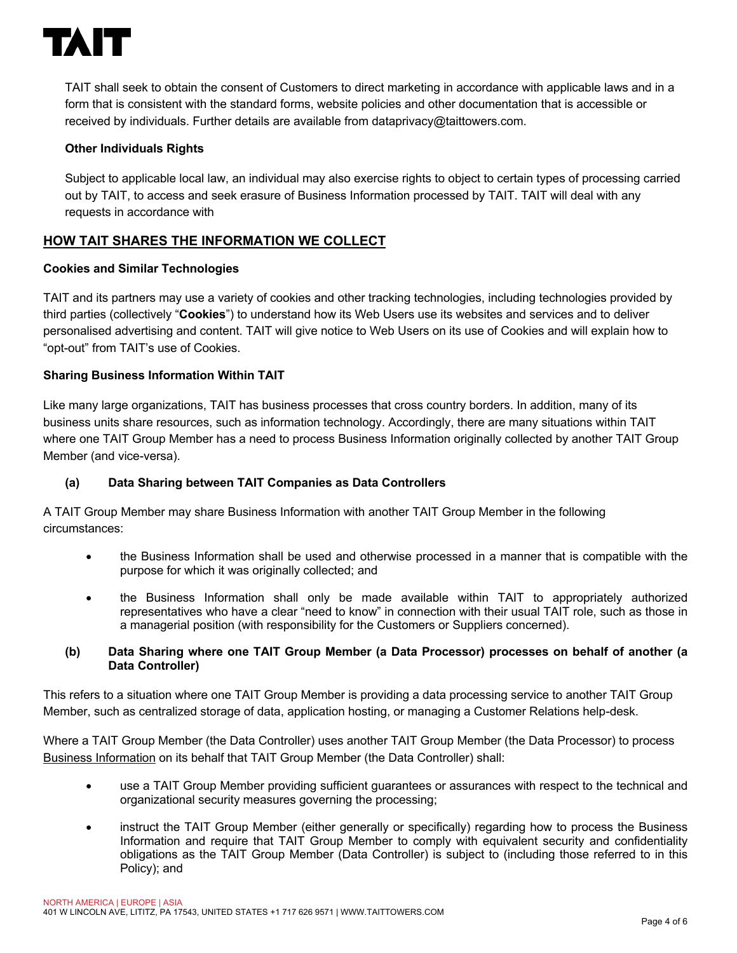

TAIT shall seek to obtain the consent of Customers to direct marketing in accordance with applicable laws and in a form that is consistent with the standard forms, website policies and other documentation that is accessible or received by individuals. Further details are available from dataprivacy@taittowers.com.

## **Other Individuals Rights**

Subject to applicable local law, an individual may also exercise rights to object to certain types of processing carried out by TAIT, to access and seek erasure of Business Information processed by TAIT. TAIT will deal with any requests in accordance with

## **HOW TAIT SHARES THE INFORMATION WE COLLECT**

## **Cookies and Similar Technologies**

TAIT and its partners may use a variety of cookies and other tracking technologies, including technologies provided by third parties (collectively "**Cookies**") to understand how its Web Users use its websites and services and to deliver personalised advertising and content. TAIT will give notice to Web Users on its use of Cookies and will explain how to "opt-out" from TAIT's use of Cookies.

## **Sharing Business Information Within TAIT**

Like many large organizations, TAIT has business processes that cross country borders. In addition, many of its business units share resources, such as information technology. Accordingly, there are many situations within TAIT where one TAIT Group Member has a need to process Business Information originally collected by another TAIT Group Member (and vice-versa).

## **(a) Data Sharing between TAIT Companies as Data Controllers**

A TAIT Group Member may share Business Information with another TAIT Group Member in the following circumstances:

- the Business Information shall be used and otherwise processed in a manner that is compatible with the purpose for which it was originally collected; and
- the Business Information shall only be made available within TAIT to appropriately authorized representatives who have a clear "need to know" in connection with their usual TAIT role, such as those in a managerial position (with responsibility for the Customers or Suppliers concerned).

## **(b) Data Sharing where one TAIT Group Member (a Data Processor) processes on behalf of another (a Data Controller)**

This refers to a situation where one TAIT Group Member is providing a data processing service to another TAIT Group Member, such as centralized storage of data, application hosting, or managing a Customer Relations help-desk.

Where a TAIT Group Member (the Data Controller) uses another TAIT Group Member (the Data Processor) to process Business Information on its behalf that TAIT Group Member (the Data Controller) shall:

- use a TAIT Group Member providing sufficient guarantees or assurances with respect to the technical and organizational security measures governing the processing;
- instruct the TAIT Group Member (either generally or specifically) regarding how to process the Business Information and require that TAIT Group Member to comply with equivalent security and confidentiality obligations as the TAIT Group Member (Data Controller) is subject to (including those referred to in this Policy); and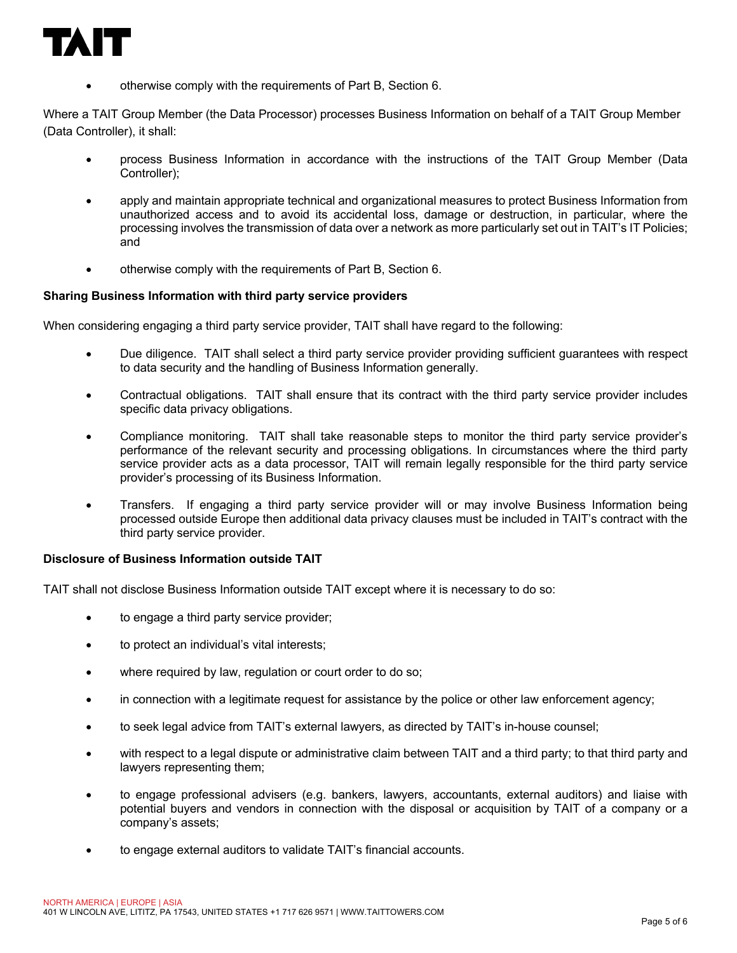

• otherwise comply with the requirements of Part B, Section 6.

Where a TAIT Group Member (the Data Processor) processes Business Information on behalf of a TAIT Group Member (Data Controller), it shall:

- process Business Information in accordance with the instructions of the TAIT Group Member (Data Controller);
- apply and maintain appropriate technical and organizational measures to protect Business Information from unauthorized access and to avoid its accidental loss, damage or destruction, in particular, where the processing involves the transmission of data over a network as more particularly set out in TAIT's IT Policies; and
- otherwise comply with the requirements of Part B, Section 6.

#### **Sharing Business Information with third party service providers**

When considering engaging a third party service provider, TAIT shall have regard to the following:

- Due diligence. TAIT shall select a third party service provider providing sufficient guarantees with respect to data security and the handling of Business Information generally.
- Contractual obligations. TAIT shall ensure that its contract with the third party service provider includes specific data privacy obligations.
- Compliance monitoring. TAIT shall take reasonable steps to monitor the third party service provider's performance of the relevant security and processing obligations. In circumstances where the third party service provider acts as a data processor, TAIT will remain legally responsible for the third party service provider's processing of its Business Information.
- Transfers. If engaging a third party service provider will or may involve Business Information being processed outside Europe then additional data privacy clauses must be included in TAIT's contract with the third party service provider.

#### **Disclosure of Business Information outside TAIT**

TAIT shall not disclose Business Information outside TAIT except where it is necessary to do so:

- to engage a third party service provider;
- to protect an individual's vital interests:
- where required by law, regulation or court order to do so;
- in connection with a legitimate request for assistance by the police or other law enforcement agency;
- to seek legal advice from TAIT's external lawyers, as directed by TAIT's in-house counsel;
- with respect to a legal dispute or administrative claim between TAIT and a third party; to that third party and lawyers representing them;
- to engage professional advisers (e.g. bankers, lawyers, accountants, external auditors) and liaise with potential buyers and vendors in connection with the disposal or acquisition by TAIT of a company or a company's assets;
- to engage external auditors to validate TAIT's financial accounts.